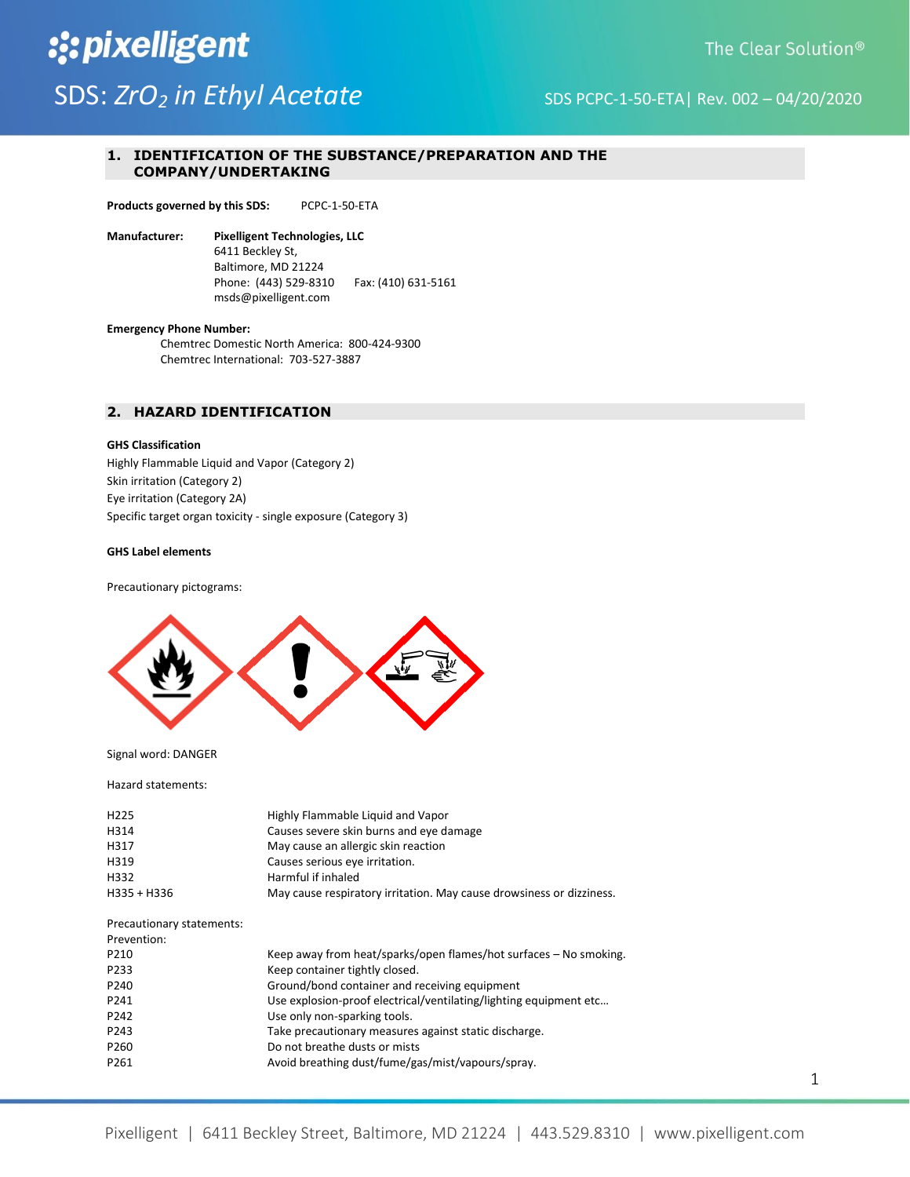## :: pixelligent SDS: *ZrO<sub>2</sub>* in Ethyl Acetate SDS PCPC-1-50-ETA| Rev. 002 – 04/20/2020

### **1. IDENTIFICATION OF THE SUBSTANCE/PREPARATION AND THE COMPANY/UNDERTAKING**

**Products governed by this SDS:** PCPC-1-50-ETA

**Manufacturer: Pixelligent Technologies, LLC** 6411 Beckley St, Baltimore, MD 21224 Phone: (443) 529-8310 Fax: (410) 631-5161 msds@pixelligent.com

**Emergency Phone Number:**

Chemtrec Domestic North America: 800-424-9300 Chemtrec International: 703-527-3887

#### **2. HAZARD IDENTIFICATION**

#### **GHS Classification**

Highly Flammable Liquid and Vapor (Category 2) Skin irritation (Category 2) Eye irritation (Category 2A) Specific target organ toxicity - single exposure (Category 3)

#### **GHS Label elements**

Precautionary pictograms:



Signal word: DANGER

Hazard statements:

| H <sub>225</sub><br>H314<br>H317<br>H319<br>H332<br>H335 + H336 | Highly Flammable Liquid and Vapor<br>Causes severe skin burns and eye damage<br>May cause an allergic skin reaction<br>Causes serious eye irritation.<br>Harmful if inhaled<br>May cause respiratory irritation. May cause drowsiness or dizziness. |
|-----------------------------------------------------------------|-----------------------------------------------------------------------------------------------------------------------------------------------------------------------------------------------------------------------------------------------------|
| Precautionary statements:<br>Prevention:                        |                                                                                                                                                                                                                                                     |
| P210                                                            | Keep away from heat/sparks/open flames/hot surfaces – No smoking.                                                                                                                                                                                   |
| P233                                                            | Keep container tightly closed.                                                                                                                                                                                                                      |
|                                                                 |                                                                                                                                                                                                                                                     |
| P <sub>240</sub>                                                | Ground/bond container and receiving equipment                                                                                                                                                                                                       |
| P241                                                            | Use explosion-proof electrical/ventilating/lighting equipment etc                                                                                                                                                                                   |
| P242                                                            | Use only non-sparking tools.                                                                                                                                                                                                                        |
| P243                                                            | Take precautionary measures against static discharge.                                                                                                                                                                                               |
| P <sub>260</sub>                                                | Do not breathe dusts or mists                                                                                                                                                                                                                       |
| P <sub>261</sub>                                                | Avoid breathing dust/fume/gas/mist/vapours/spray.                                                                                                                                                                                                   |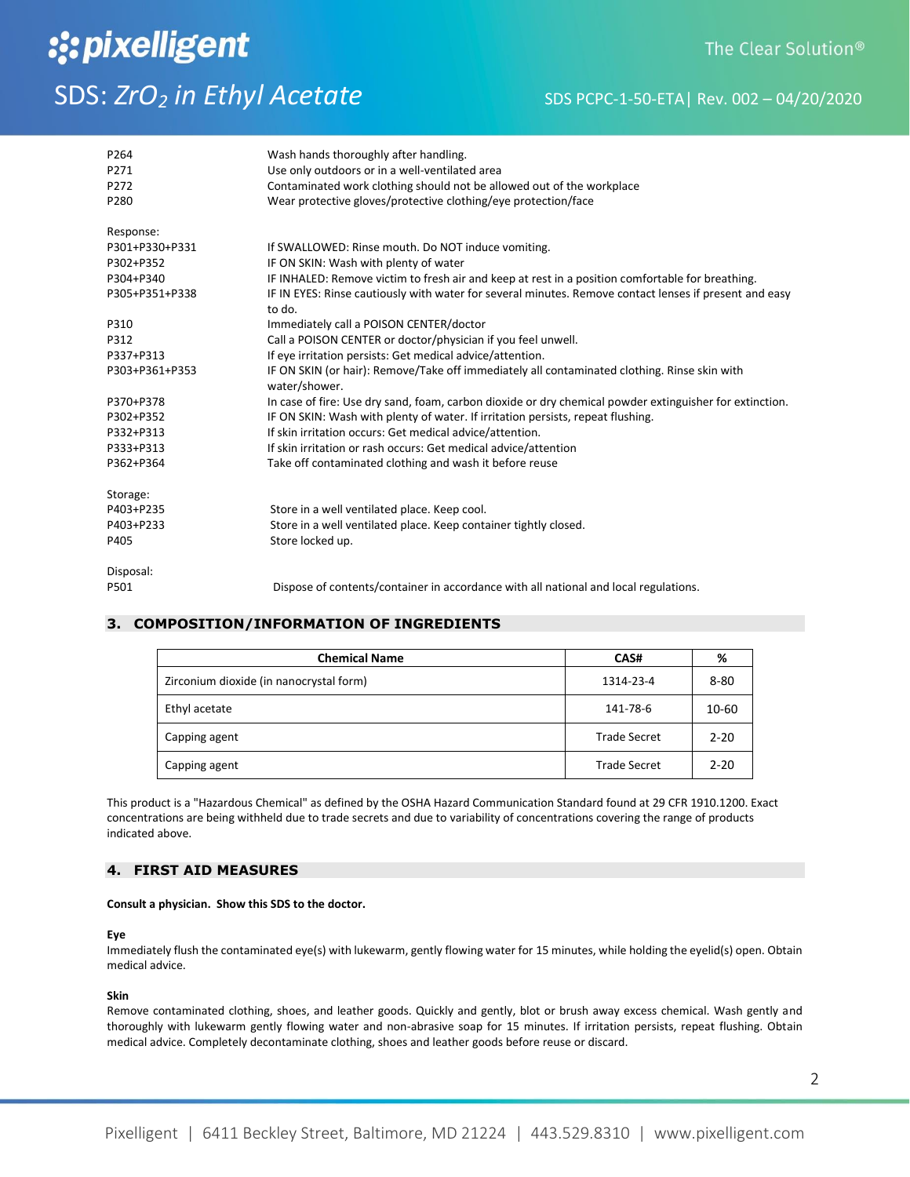# :: pixelligent

## The Clear Solution<sup>®</sup>

## SDS: *ZrO<sub>2</sub>* in Ethyl Acetate SDS PCPC-1-50-ETA| Rev. 002 – 04/20/2020

| P264<br>P271<br>P272<br>P280 | Wash hands thoroughly after handling.<br>Use only outdoors or in a well-ventilated area<br>Contaminated work clothing should not be allowed out of the workplace<br>Wear protective gloves/protective clothing/eye protection/face |
|------------------------------|------------------------------------------------------------------------------------------------------------------------------------------------------------------------------------------------------------------------------------|
|                              |                                                                                                                                                                                                                                    |
| Response:                    |                                                                                                                                                                                                                                    |
| P301+P330+P331               | If SWALLOWED: Rinse mouth. Do NOT induce vomiting.                                                                                                                                                                                 |
| P302+P352                    | IF ON SKIN: Wash with plenty of water                                                                                                                                                                                              |
| P304+P340                    | IF INHALED: Remove victim to fresh air and keep at rest in a position comfortable for breathing.                                                                                                                                   |
| P305+P351+P338               | IF IN EYES: Rinse cautiously with water for several minutes. Remove contact lenses if present and easy<br>to do.                                                                                                                   |
| P310                         | Immediately call a POISON CENTER/doctor                                                                                                                                                                                            |
| P312                         | Call a POISON CENTER or doctor/physician if you feel unwell.                                                                                                                                                                       |
| P337+P313                    | If eye irritation persists: Get medical advice/attention.                                                                                                                                                                          |
| P303+P361+P353               | IF ON SKIN (or hair): Remove/Take off immediately all contaminated clothing. Rinse skin with                                                                                                                                       |
|                              | water/shower.                                                                                                                                                                                                                      |
| P370+P378                    | In case of fire: Use dry sand, foam, carbon dioxide or dry chemical powder extinguisher for extinction.                                                                                                                            |
| P302+P352                    | IF ON SKIN: Wash with plenty of water. If irritation persists, repeat flushing.                                                                                                                                                    |
| P332+P313                    | If skin irritation occurs: Get medical advice/attention.                                                                                                                                                                           |
| P333+P313                    | If skin irritation or rash occurs: Get medical advice/attention                                                                                                                                                                    |
| P362+P364                    | Take off contaminated clothing and wash it before reuse                                                                                                                                                                            |
| Storage:                     |                                                                                                                                                                                                                                    |
| P403+P235                    | Store in a well ventilated place. Keep cool.                                                                                                                                                                                       |
| P403+P233                    | Store in a well ventilated place. Keep container tightly closed.                                                                                                                                                                   |
| P405                         | Store locked up.                                                                                                                                                                                                                   |
| Disposal:                    |                                                                                                                                                                                                                                    |
| P501                         | Dispose of contents/container in accordance with all national and local regulations.                                                                                                                                               |

## **3. COMPOSITION/INFORMATION OF INGREDIENTS**

| <b>Chemical Name</b>                    | CAS#                | %        |
|-----------------------------------------|---------------------|----------|
| Zirconium dioxide (in nanocrystal form) | 1314-23-4           | $8 - 80$ |
| Ethyl acetate                           | 141-78-6            | 10-60    |
| Capping agent                           | <b>Trade Secret</b> | $2 - 20$ |
| Capping agent                           | <b>Trade Secret</b> | $2 - 20$ |

This product is a "Hazardous Chemical" as defined by the OSHA Hazard Communication Standard found at 29 CFR 1910.1200. Exact concentrations are being withheld due to trade secrets and due to variability of concentrations covering the range of products indicated above.

#### **4. FIRST AID MEASURES**

#### **Consult a physician. Show this SDS to the doctor.**

#### **Eye**

Immediately flush the contaminated eye(s) with lukewarm, gently flowing water for 15 minutes, while holding the eyelid(s) open. Obtain medical advice.

#### **Skin**

Remove contaminated clothing, shoes, and leather goods. Quickly and gently, blot or brush away excess chemical. Wash gently and thoroughly with lukewarm gently flowing water and non-abrasive soap for 15 minutes. If irritation persists, repeat flushing. Obtain medical advice. Completely decontaminate clothing, shoes and leather goods before reuse or discard.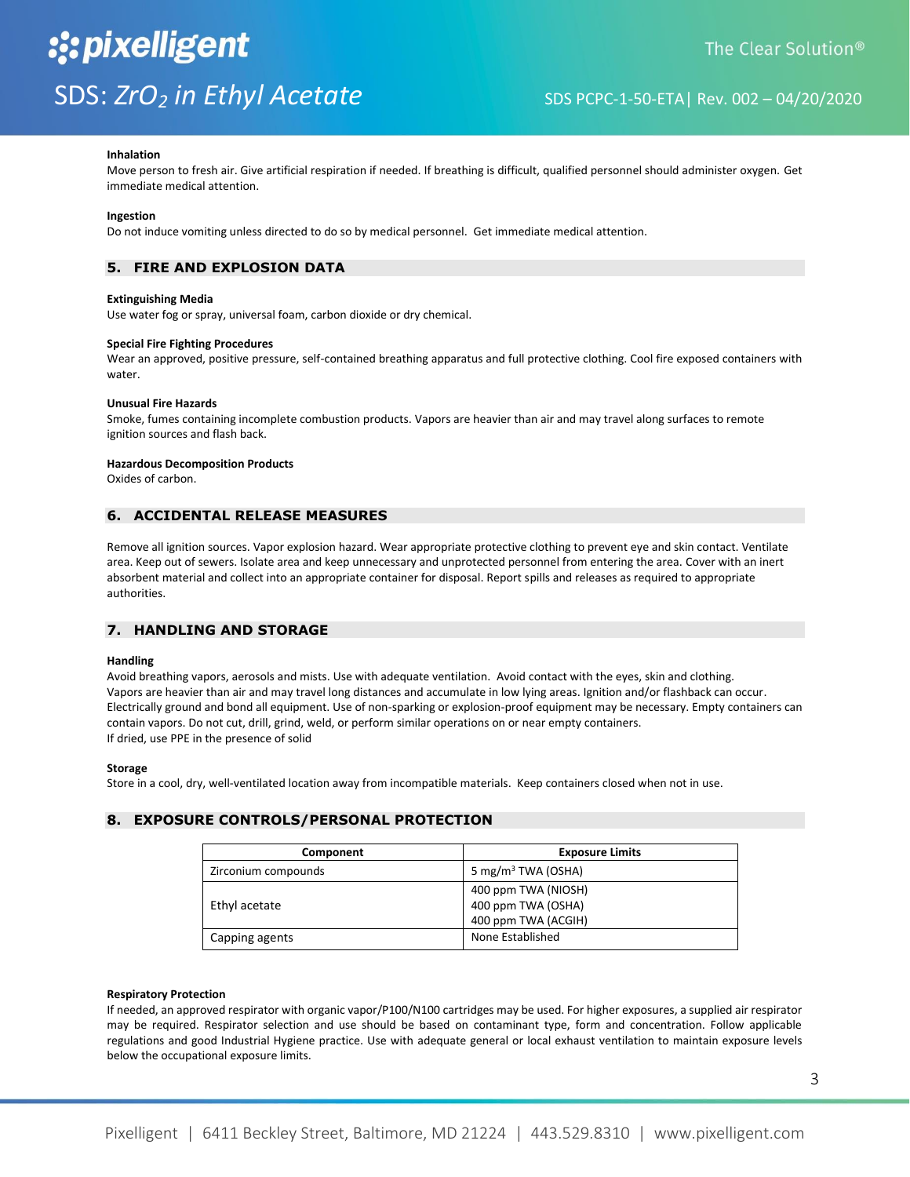#### **Inhalation**

Move person to fresh air. Give artificial respiration if needed. If breathing is difficult, qualified personnel should administer oxygen. Get immediate medical attention.

#### **Ingestion**

Do not induce vomiting unless directed to do so by medical personnel. Get immediate medical attention.

### **5. FIRE AND EXPLOSION DATA**

#### **Extinguishing Media**

Use water fog or spray, universal foam, carbon dioxide or dry chemical.

#### **Special Fire Fighting Procedures**

Wear an approved, positive pressure, self-contained breathing apparatus and full protective clothing. Cool fire exposed containers with water.

#### **Unusual Fire Hazards**

Smoke, fumes containing incomplete combustion products. Vapors are heavier than air and may travel along surfaces to remote ignition sources and flash back.

#### **Hazardous Decomposition Products**

Oxides of carbon.

### **6. ACCIDENTAL RELEASE MEASURES**

Remove all ignition sources. Vapor explosion hazard. Wear appropriate protective clothing to prevent eye and skin contact. Ventilate area. Keep out of sewers. Isolate area and keep unnecessary and unprotected personnel from entering the area. Cover with an inert absorbent material and collect into an appropriate container for disposal. Report spills and releases as required to appropriate authorities.

#### **7. HANDLING AND STORAGE**

#### **Handling**

Avoid breathing vapors, aerosols and mists. Use with adequate ventilation. Avoid contact with the eyes, skin and clothing. Vapors are heavier than air and may travel long distances and accumulate in low lying areas. Ignition and/or flashback can occur. Electrically ground and bond all equipment. Use of non-sparking or explosion-proof equipment may be necessary. Empty containers can contain vapors. Do not cut, drill, grind, weld, or perform similar operations on or near empty containers. If dried, use PPE in the presence of solid

#### **Storage**

Store in a cool, dry, well-ventilated location away from incompatible materials. Keep containers closed when not in use.

#### **8. EXPOSURE CONTROLS/PERSONAL PROTECTION**

| Component           | <b>Exposure Limits</b>                                           |
|---------------------|------------------------------------------------------------------|
| Zirconium compounds | 5 mg/m <sup>3</sup> TWA (OSHA)                                   |
| Ethyl acetate       | 400 ppm TWA (NIOSH)<br>400 ppm TWA (OSHA)<br>400 ppm TWA (ACGIH) |
| Capping agents      | None Established                                                 |

#### **Respiratory Protection**

If needed, an approved respirator with organic vapor/P100/N100 cartridges may be used. For higher exposures, a supplied air respirator may be required. Respirator selection and use should be based on contaminant type, form and concentration. Follow applicable regulations and good Industrial Hygiene practice. Use with adequate general or local exhaust ventilation to maintain exposure levels below the occupational exposure limits.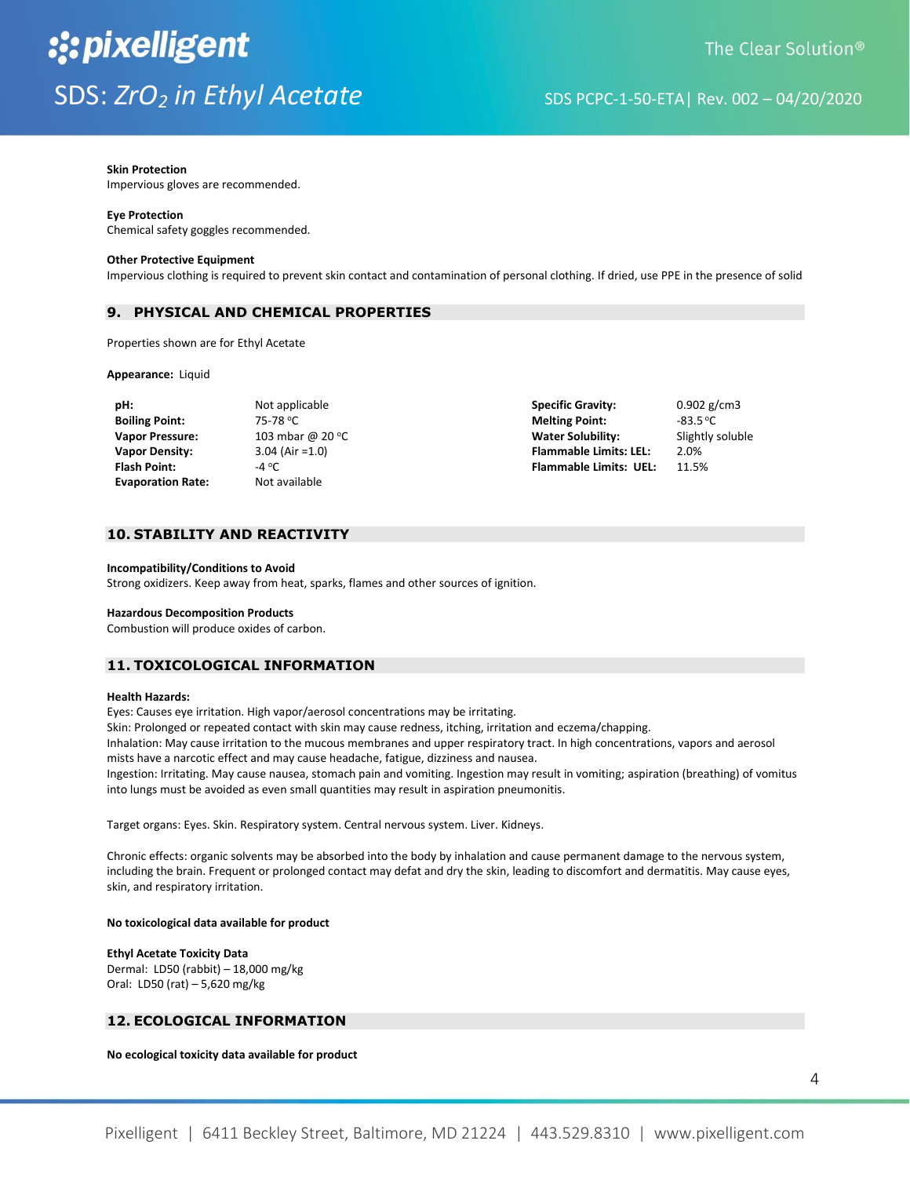#### **Skin Protection**

Impervious gloves are recommended.

#### **Eye Protection**

Chemical safety goggles recommended.

#### **Other Protective Equipment**

Impervious clothing is required to prevent skin contact and contamination of personal clothing. If dried, use PPE in the presence of solid

#### **9. PHYSICAL AND CHEMICAL PROPERTIES**

Properties shown are for Ethyl Acetate

#### **Appearance:** Liquid

| pH:                      | Not applicable    |
|--------------------------|-------------------|
| <b>Boiling Point:</b>    | 75-78 °C          |
| <b>Vapor Pressure:</b>   | 103 mbar @ 2      |
| <b>Vapor Density:</b>    | $3.04$ (Air = 1.0 |
| <b>Flash Point:</b>      | -4 °C             |
| <b>Evaporation Rate:</b> | Not available     |

**Photographicable <b>Specific Gravity:** 0.902 g/cm3 **Boiling Point:** 75-78 <sup>o</sup>C **Melting Point:** -83.5 <sup>o</sup>C **Value 20 °C Water Solubility:** Slightly soluble **Vapor Density:** 3.04 (Air =1.0) **Flammable Limits: LEL:** 2.0% **Flash Point:** -4 <sup>o</sup>C **Flammable Limits: UEL:** 11.5%

#### **10. STABILITY AND REACTIVITY**

#### **Incompatibility/Conditions to Avoid**

Strong oxidizers. Keep away from heat, sparks, flames and other sources of ignition.

#### **Hazardous Decomposition Products**

Combustion will produce oxides of carbon.

#### **11. TOXICOLOGICAL INFORMATION**

#### **Health Hazards:**

Eyes: Causes eye irritation. High vapor/aerosol concentrations may be irritating.

Skin: Prolonged or repeated contact with skin may cause redness, itching, irritation and eczema/chapping.

Inhalation: May cause irritation to the mucous membranes and upper respiratory tract. In high concentrations, vapors and aerosol mists have a narcotic effect and may cause headache, fatigue, dizziness and nausea.

Ingestion: Irritating. May cause nausea, stomach pain and vomiting. Ingestion may result in vomiting; aspiration (breathing) of vomitus into lungs must be avoided as even small quantities may result in aspiration pneumonitis.

Target organs: Eyes. Skin. Respiratory system. Central nervous system. Liver. Kidneys.

Chronic effects: organic solvents may be absorbed into the body by inhalation and cause permanent damage to the nervous system, including the brain. Frequent or prolonged contact may defat and dry the skin, leading to discomfort and dermatitis. May cause eyes, skin, and respiratory irritation.

#### **No toxicological data available for product**

**Ethyl Acetate Toxicity Data** Dermal: LD50 (rabbit) – 18,000 mg/kg Oral: LD50 (rat) – 5,620 mg/kg

### **12. ECOLOGICAL INFORMATION**

**No ecological toxicity data available for product**